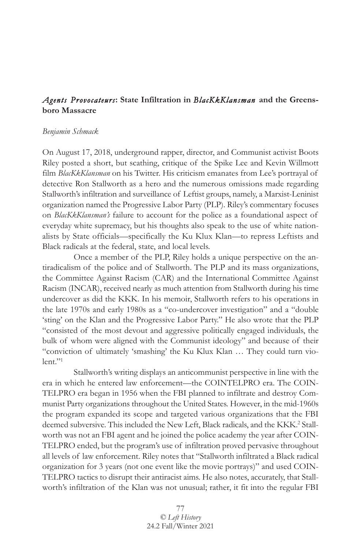# *Agents Provocateurs***: State Infiltration in** *BlacKkKlansman* **and the Greensboro Massacre**

#### *Benjamin Schmack*

On August 17, 2018, underground rapper, director, and Communist activist Boots Riley posted a short, but scathing, critique of the Spike Lee and Kevin Willmott film *BlacKkKlansman* on his Twitter. His criticism emanates from Lee's portrayal of detective Ron Stallworth as a hero and the numerous omissions made regarding Stallworth's infiltration and surveillance of Leftist groups, namely, a Marxist-Leninist organization named the Progressive Labor Party (PLP). Riley's commentary focuses on *BlacKkKlansman's* failure to account for the police as a foundational aspect of everyday white supremacy, but his thoughts also speak to the use of white nationalists by State officials—specifically the Ku Klux Klan—to repress Leftists and Black radicals at the federal, state, and local levels.

Once a member of the PLP, Riley holds a unique perspective on the antiradicalism of the police and of Stallworth. The PLP and its mass organizations, the Committee Against Racism (CAR) and the International Committee Against Racism (INCAR), received nearly as much attention from Stallworth during his time undercover as did the KKK. In his memoir, Stallworth refers to his operations in the late 1970s and early 1980s as a "co-undercover investigation" and a "double 'sting' on the Klan and the Progressive Labor Party." He also wrote that the PLP "consisted of the most devout and aggressive politically engaged individuals, the bulk of whom were aligned with the Communist ideology" and because of their "conviction of ultimately 'smashing' the Ku Klux Klan … They could turn violent."1

Stallworth's writing displays an anticommunist perspective in line with the era in which he entered law enforcement—the COINTELPRO era. The COIN-TELPRO era began in 1956 when the FBI planned to infiltrate and destroy Communist Party organizations throughout the United States. However, in the mid-1960s the program expanded its scope and targeted various organizations that the FBI deemed subversive. This included the New Left, Black radicals, and the KKK.<sup>2</sup> Stallworth was not an FBI agent and he joined the police academy the year after COIN-TELPRO ended, but the program's use of infiltration proved pervasive throughout all levels of law enforcement. Riley notes that "Stallworth infiltrated a Black radical organization for 3 years (not one event like the movie portrays)" and used COIN-TELPRO tactics to disrupt their antiracist aims. He also notes, accurately, that Stallworth's infiltration of the Klan was not unusual; rather, it fit into the regular FBI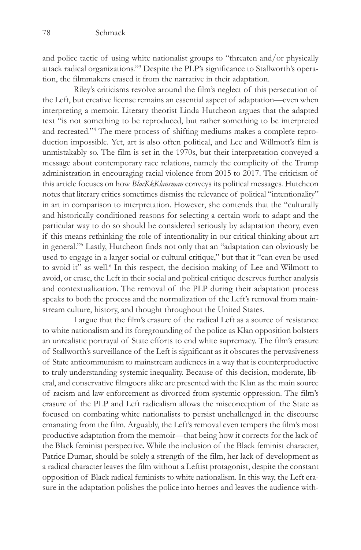and police tactic of using white nationalist groups to "threaten and/or physically attack radical organizations."3 Despite the PLP's significance to Stallworth's operation, the filmmakers erased it from the narrative in their adaptation.

Riley's criticisms revolve around the film's neglect of this persecution of the Left, but creative license remains an essential aspect of adaptation—even when interpreting a memoir. Literary theorist Linda Hutcheon argues that the adapted text "is not something to be reproduced, but rather something to be interpreted and recreated."4 The mere process of shifting mediums makes a complete reproduction impossible. Yet, art is also often political, and Lee and Willmott's film is unmistakably so. The film is set in the 1970s, but their interpretation conveyed a message about contemporary race relations, namely the complicity of the Trump administration in encouraging racial violence from 2015 to 2017. The criticism of this article focuses on how *BlacKkKlansman* conveys its political messages. Hutcheon notes that literary critics sometimes dismiss the relevance of political "intentionality" in art in comparison to interpretation. However, she contends that the "culturally and historically conditioned reasons for selecting a certain work to adapt and the particular way to do so should be considered seriously by adaptation theory, even if this means rethinking the role of intentionality in our critical thinking about art in general."5 Lastly, Hutcheon finds not only that an "adaptation can obviously be used to engage in a larger social or cultural critique," but that it "can even be used to avoid it" as well.<sup>6</sup> In this respect, the decision making of Lee and Wilmott to avoid, or erase, the Left in their social and political critique deserves further analysis and contextualization. The removal of the PLP during their adaptation process speaks to both the process and the normalization of the Left's removal from mainstream culture, history, and thought throughout the United States.

I argue that the film's erasure of the radical Left as a source of resistance to white nationalism and its foregrounding of the police as Klan opposition bolsters an unrealistic portrayal of State efforts to end white supremacy. The film's erasure of Stallworth's surveillance of the Left is significant as it obscures the pervasiveness of State anticommunism to mainstream audiences in a way that is counterproductive to truly understanding systemic inequality. Because of this decision, moderate, liberal, and conservative filmgoers alike are presented with the Klan as the main source of racism and law enforcement as divorced from systemic oppression. The film's erasure of the PLP and Left radicalism allows the misconception of the State as focused on combating white nationalists to persist unchallenged in the discourse emanating from the film. Arguably, the Left's removal even tempers the film's most productive adaptation from the memoir—that being how it corrects for the lack of the Black feminist perspective. While the inclusion of the Black feminist character, Patrice Dumar, should be solely a strength of the film, her lack of development as a radical character leaves the film without a Leftist protagonist, despite the constant opposition of Black radical feminists to white nationalism. In this way, the Left erasure in the adaptation polishes the police into heroes and leaves the audience with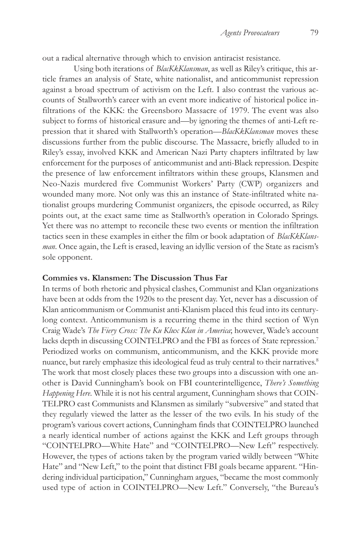out a radical alternative through which to envision antiracist resistance.

Using both iterations of *BlacKkKlansman*, as well as Riley's critique, this article frames an analysis of State, white nationalist, and anticommunist repression against a broad spectrum of activism on the Left. I also contrast the various accounts of Stallworth's career with an event more indicative of historical police infiltrations of the KKK: the Greensboro Massacre of 1979. The event was also subject to forms of historical erasure and—by ignoring the themes of anti-Left repression that it shared with Stallworth's operation—*BlacKkKlansman* moves these discussions further from the public discourse. The Massacre, briefly alluded to in Riley's essay, involved KKK and American Nazi Party chapters infiltrated by law enforcement for the purposes of anticommunist and anti-Black repression. Despite the presence of law enforcement infiltrators within these groups, Klansmen and Neo-Nazis murdered five Communist Workers' Party (CWP) organizers and wounded many more. Not only was this an instance of State-infiltrated white nationalist groups murdering Communist organizers, the episode occurred, as Riley points out, at the exact same time as Stallworth's operation in Colorado Springs. Yet there was no attempt to reconcile these two events or mention the infiltration tactics seen in these examples in either the film or book adaptation of *BlacKkKlansman*. Once again, the Left is erased, leaving an idyllic version of the State as racism's sole opponent.

# **Commies vs. Klansmen: The Discussion Thus Far**

In terms of both rhetoric and physical clashes, Communist and Klan organizations have been at odds from the 1920s to the present day. Yet, never has a discussion of Klan anticommunism or Communist anti-Klanism placed this feud into its centurylong context. Anticommunism is a recurring theme in the third section of Wyn Craig Wade's *The Fiery Cross: The Ku Klux Klan in America*; however, Wade's account lacks depth in discussing COINTELPRO and the FBI as forces of State repression.<sup>7</sup> Periodized works on communism, anticommunism, and the KKK provide more nuance, but rarely emphasize this ideological feud as truly central to their narratives.<sup>8</sup> The work that most closely places these two groups into a discussion with one another is David Cunningham's book on FBI counterintelligence, *There's Something Happening Here*. While it is not his central argument, Cunningham shows that COIN-TELPRO cast Communists and Klansmen as similarly "subversive" and stated that they regularly viewed the latter as the lesser of the two evils. In his study of the program's various covert actions, Cunningham finds that COINTELPRO launched a nearly identical number of actions against the KKK and Left groups through "COINTELPRO—White Hate" and "COINTELPRO—New Left" respectively. However, the types of actions taken by the program varied wildly between "White Hate" and "New Left," to the point that distinct FBI goals became apparent. "Hindering individual participation," Cunningham argues, "became the most commonly used type of action in COINTELPRO—New Left." Conversely, "the Bureau's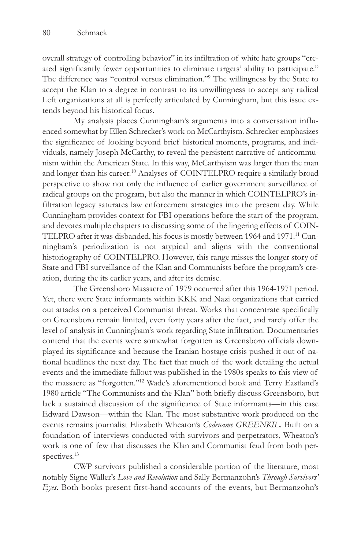overall strategy of controlling behavior" in its infiltration of white hate groups "created significantly fewer opportunities to eliminate targets' ability to participate." The difference was "control versus elimination."9 The willingness by the State to accept the Klan to a degree in contrast to its unwillingness to accept any radical Left organizations at all is perfectly articulated by Cunningham, but this issue extends beyond his historical focus.

My analysis places Cunningham's arguments into a conversation influenced somewhat by Ellen Schrecker's work on McCarthyism. Schrecker emphasizes the significance of looking beyond brief historical moments, programs, and individuals, namely Joseph McCarthy, to reveal the persistent narrative of anticommunism within the American State. In this way, McCarthyism was larger than the man and longer than his career.10 Analyses of COINTELPRO require a similarly broad perspective to show not only the influence of earlier government surveillance of radical groups on the program, but also the manner in which COINTELPRO's infiltration legacy saturates law enforcement strategies into the present day. While Cunningham provides context for FBI operations before the start of the program, and devotes multiple chapters to discussing some of the lingering effects of COIN-TELPRO after it was disbanded, his focus is mostly between 1964 and 1971.11 Cunningham's periodization is not atypical and aligns with the conventional historiography of COINTELPRO. However, this range misses the longer story of State and FBI surveillance of the Klan and Communists before the program's creation, during the its earlier years, and after its demise.

The Greensboro Massacre of 1979 occurred after this 1964-1971 period. Yet, there were State informants within KKK and Nazi organizations that carried out attacks on a perceived Communist threat. Works that concentrate specifically on Greensboro remain limited, even forty years after the fact, and rarely offer the level of analysis in Cunningham's work regarding State infiltration. Documentaries contend that the events were somewhat forgotten as Greensboro officials downplayed its significance and because the Iranian hostage crisis pushed it out of national headlines the next day. The fact that much of the work detailing the actual events and the immediate fallout was published in the 1980s speaks to this view of the massacre as "forgotten."12 Wade's aforementioned book and Terry Eastland's 1980 article "The Communists and the Klan" both briefly discuss Greensboro, but lack a sustained discussion of the significance of State informants—in this case Edward Dawson—within the Klan. The most substantive work produced on the events remains journalist Elizabeth Wheaton's *Codename GREENKIL*. Built on a foundation of interviews conducted with survivors and perpetrators, Wheaton's work is one of few that discusses the Klan and Communist feud from both perspectives.<sup>13</sup>

CWP survivors published a considerable portion of the literature, most notably Signe Waller's *Love and Revolution* and Sally Bermanzohn's *Through Survivors' Eyes*. Both books present first-hand accounts of the events, but Bermanzohn's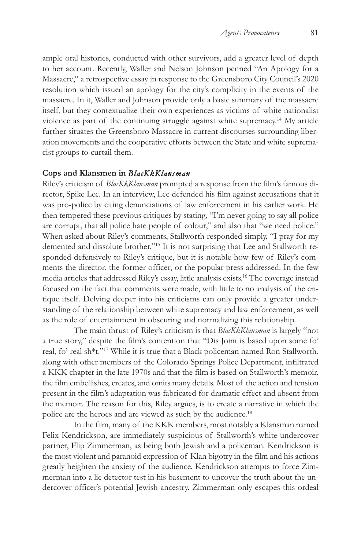ample oral histories, conducted with other survivors, add a greater level of depth to her account. Recently, Waller and Nelson Johnson penned "An Apology for a Massacre," a retrospective essay in response to the Greensboro City Council's 2020 resolution which issued an apology for the city's complicity in the events of the massacre. In it, Waller and Johnson provide only a basic summary of the massacre itself, but they contextualize their own experiences as victims of white nationalist violence as part of the continuing struggle against white supremacy.14 My article further situates the Greensboro Massacre in current discourses surrounding liberation movements and the cooperative efforts between the State and white supremacist groups to curtail them.

#### **Cops and Klansmen in** *BlacKkKlansman*

Riley's criticism of *BlacKkKlansman* prompted a response from the film's famous director, Spike Lee. In an interview, Lee defended his film against accusations that it was pro-police by citing denunciations of law enforcement in his earlier work. He then tempered these previous critiques by stating, "I'm never going to say all police are corrupt, that all police hate people of colour," and also that "we need police." When asked about Riley's comments, Stallworth responded simply, "I pray for my demented and dissolute brother."15 It is not surprising that Lee and Stallworth responded defensively to Riley's critique, but it is notable how few of Riley's comments the director, the former officer, or the popular press addressed. In the few media articles that addressed Riley's essay, little analysis exists.16 The coverage instead focused on the fact that comments were made, with little to no analysis of the critique itself. Delving deeper into his criticisms can only provide a greater understanding of the relationship between white supremacy and law enforcement, as well as the role of entertainment in obscuring and normalizing this relationship.

The main thrust of Riley's criticism is that *BlacKkKlansman* is largely "not a true story," despite the film's contention that "Dis Joint is based upon some fo' real, fo' real sh\*t."17 While it is true that a Black policeman named Ron Stallworth, along with other members of the Colorado Springs Police Department, infiltrated a KKK chapter in the late 1970s and that the film is based on Stallworth's memoir, the film embellishes, creates, and omits many details. Most of the action and tension present in the film's adaptation was fabricated for dramatic effect and absent from the memoir. The reason for this, Riley argues, is to create a narrative in which the police are the heroes and are viewed as such by the audience.18

In the film, many of the KKK members, most notably a Klansman named Felix Kendrickson, are immediately suspicious of Stallworth's white undercover partner, Flip Zimmerman, as being both Jewish and a policeman. Kendrickson is the most violent and paranoid expression of Klan bigotry in the film and his actions greatly heighten the anxiety of the audience. Kendrickson attempts to force Zimmerman into a lie detector test in his basement to uncover the truth about the undercover officer's potential Jewish ancestry. Zimmerman only escapes this ordeal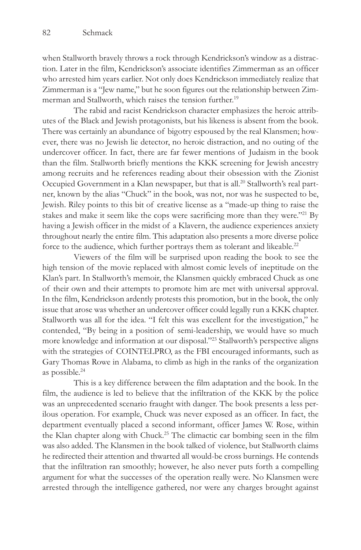when Stallworth bravely throws a rock through Kendrickson's window as a distraction. Later in the film, Kendrickson's associate identifies Zimmerman as an officer who arrested him years earlier. Not only does Kendrickson immediately realize that Zimmerman is a "Jew name," but he soon figures out the relationship between Zimmerman and Stallworth, which raises the tension further.<sup>19</sup>

The rabid and racist Kendrickson character emphasizes the heroic attributes of the Black and Jewish protagonists, but his likeness is absent from the book. There was certainly an abundance of bigotry espoused by the real Klansmen; however, there was no Jewish lie detector, no heroic distraction, and no outing of the undercover officer. In fact, there are far fewer mentions of Judaism in the book than the film. Stallworth briefly mentions the KKK screening for Jewish ancestry among recruits and he references reading about their obsession with the Zionist Occupied Government in a Klan newspaper, but that is all.<sup>20</sup> Stallworth's real partner, known by the alias "Chuck" in the book, was not, nor was he suspected to be, Jewish. Riley points to this bit of creative license as a "made-up thing to raise the stakes and make it seem like the cops were sacrificing more than they were."<sup>21</sup> By having a Jewish officer in the midst of a Klavern, the audience experiences anxiety throughout nearly the entire film. This adaptation also presents a more diverse police force to the audience, which further portrays them as tolerant and likeable.<sup>22</sup>

Viewers of the film will be surprised upon reading the book to see the high tension of the movie replaced with almost comic levels of ineptitude on the Klan's part. In Stallworth's memoir, the Klansmen quickly embraced Chuck as one of their own and their attempts to promote him are met with universal approval. In the film, Kendrickson ardently protests this promotion, but in the book, the only issue that arose was whether an undercover officer could legally run a KKK chapter. Stallworth was all for the idea. "I felt this was excellent for the investigation," he contended, "By being in a position of semi-leadership, we would have so much more knowledge and information at our disposal."23 Stallworth's perspective aligns with the strategies of COINTELPRO, as the FBI encouraged informants, such as Gary Thomas Rowe in Alabama, to climb as high in the ranks of the organization as possible.24

This is a key difference between the film adaptation and the book. In the film, the audience is led to believe that the infiltration of the KKK by the police was an unprecedented scenario fraught with danger. The book presents a less perilous operation. For example, Chuck was never exposed as an officer. In fact, the department eventually placed a second informant, officer James W. Rose, within the Klan chapter along with Chuck.<sup>25</sup> The climactic car bombing seen in the film was also added. The Klansmen in the book talked of violence, but Stallworth claims he redirected their attention and thwarted all would-be cross burnings. He contends that the infiltration ran smoothly; however, he also never puts forth a compelling argument for what the successes of the operation really were. No Klansmen were arrested through the intelligence gathered, nor were any charges brought against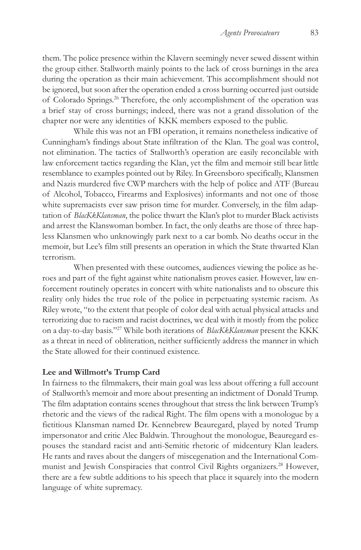them. The police presence within the Klavern seemingly never sewed dissent within the group either. Stallworth mainly points to the lack of cross burnings in the area during the operation as their main achievement. This accomplishment should not be ignored, but soon after the operation ended a cross burning occurred just outside of Colorado Springs.26 Therefore, the only accomplishment of the operation was a brief stay of cross burnings; indeed, there was not a grand dissolution of the chapter nor were any identities of KKK members exposed to the public.

While this was not an FBI operation, it remains nonetheless indicative of Cunningham's findings about State infiltration of the Klan. The goal was control, not elimination. The tactics of Stallworth's operation are easily reconcilable with law enforcement tactics regarding the Klan, yet the film and memoir still bear little resemblance to examples pointed out by Riley. In Greensboro specifically, Klansmen and Nazis murdered five CWP marchers with the help of police and ATF (Bureau of Alcohol, Tobacco, Firearms and Explosives) informants and not one of those white supremacists ever saw prison time for murder. Conversely, in the film adaptation of *BlacKkKlansman*, the police thwart the Klan's plot to murder Black activists and arrest the Klanswoman bomber. In fact, the only deaths are those of three hapless Klansmen who unknowingly park next to a car bomb. No deaths occur in the memoir, but Lee's film still presents an operation in which the State thwarted Klan terrorism.

When presented with these outcomes, audiences viewing the police as heroes and part of the fight against white nationalism proves easier. However, law enforcement routinely operates in concert with white nationalists and to obscure this reality only hides the true role of the police in perpetuating systemic racism. As Riley wrote, "to the extent that people of color deal with actual physical attacks and terrorizing due to racism and racist doctrines, we deal with it mostly from the police on a day-to-day basis."27 While both iterations of *BlacKkKlansman* present the KKK as a threat in need of obliteration, neither sufficiently address the manner in which the State allowed for their continued existence.

## **Lee and Willmott's Trump Card**

In fairness to the filmmakers, their main goal was less about offering a full account of Stallworth's memoir and more about presenting an indictment of Donald Trump. The film adaptation contains scenes throughout that stress the link between Trump's rhetoric and the views of the radical Right. The film opens with a monologue by a fictitious Klansman named Dr. Kennebrew Beauregard, played by noted Trump impersonator and critic Alec Baldwin. Throughout the monologue, Beauregard espouses the standard racist and anti-Semitic rhetoric of midcentury Klan leaders. He rants and raves about the dangers of miscegenation and the International Communist and Jewish Conspiracies that control Civil Rights organizers.<sup>28</sup> However, there are a few subtle additions to his speech that place it squarely into the modern language of white supremacy.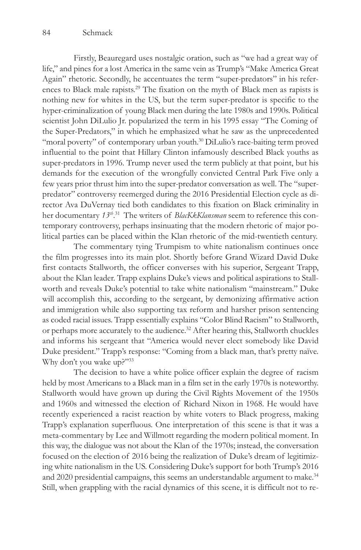Firstly, Beauregard uses nostalgic oration, such as "we had a great way of life," and pines for a lost America in the same vein as Trump's "Make America Great Again" rhetoric. Secondly, he accentuates the term "super-predators" in his references to Black male rapists.29 The fixation on the myth of Black men as rapists is nothing new for whites in the US, but the term super-predator is specific to the hyper-criminalization of young Black men during the late 1980s and 1990s. Political scientist John DiLulio Jr. popularized the term in his 1995 essay "The Coming of the Super-Predators," in which he emphasized what he saw as the unprecedented "moral poverty" of contemporary urban youth.<sup>30</sup> DiLulio's race-baiting term proved influential to the point that Hillary Clinton infamously described Black youths as super-predators in 1996. Trump never used the term publicly at that point, but his demands for the execution of the wrongfully convicted Central Park Five only a few years prior thrust him into the super-predator conversation as well. The "superpredator" controversy reemerged during the 2016 Presidential Election cycle as director Ava DuVernay tied both candidates to this fixation on Black criminality in her documentary *13th*. 31 The writers of *BlacKkKlansman* seem to reference this contemporary controversy, perhaps insinuating that the modern rhetoric of major political parties can be placed within the Klan rhetoric of the mid-twentieth century.

The commentary tying Trumpism to white nationalism continues once the film progresses into its main plot. Shortly before Grand Wizard David Duke first contacts Stallworth, the officer converses with his superior, Sergeant Trapp, about the Klan leader. Trapp explains Duke's views and political aspirations to Stallworth and reveals Duke's potential to take white nationalism "mainstream." Duke will accomplish this, according to the sergeant, by demonizing affirmative action and immigration while also supporting tax reform and harsher prison sentencing as coded racial issues. Trapp essentially explains "Color Blind Racism" to Stallworth, or perhaps more accurately to the audience.32 After hearing this, Stallworth chuckles and informs his sergeant that "America would never elect somebody like David Duke president." Trapp's response: "Coming from a black man, that's pretty naïve. Why don't you wake up?"33

The decision to have a white police officer explain the degree of racism held by most Americans to a Black man in a film set in the early 1970s is noteworthy. Stallworth would have grown up during the Civil Rights Movement of the 1950s and 1960s and witnessed the election of Richard Nixon in 1968. He would have recently experienced a racist reaction by white voters to Black progress, making Trapp's explanation superfluous. One interpretation of this scene is that it was a meta-commentary by Lee and Willmott regarding the modern political moment. In this way, the dialogue was not about the Klan of the 1970s; instead, the conversation focused on the election of 2016 being the realization of Duke's dream of legitimizing white nationalism in the US. Considering Duke's support for both Trump's 2016 and 2020 presidential campaigns, this seems an understandable argument to make.<sup>34</sup> Still, when grappling with the racial dynamics of this scene, it is difficult not to re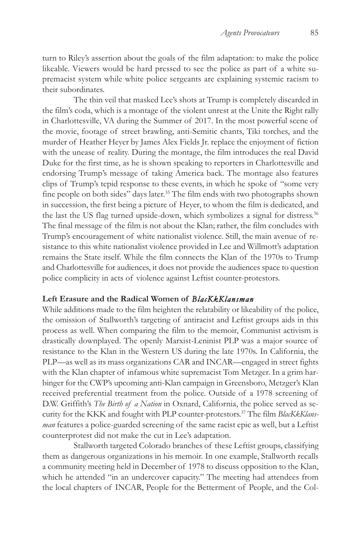turn to Riley's assertion about the goals of the film adaptation: to make the police likeable. Viewers would be hard pressed to see the police as part of a white supremacist system while white police sergeants are explaining systemic racism to their subordinates.

The thin veil that masked Lee's shots at Trump is completely discarded in the film's coda, which is a montage of the violent unrest at the Unite the Right rally in Charlottesville, VA during the Summer of 2017. In the most powerful scene of the movie, footage of street brawling, anti-Semitic chants, Tiki torches, and the murder of Heather Heyer by James Alex Fields Jr. replace the enjoyment of fiction with the unease of reality. During the montage, the film introduces the real David Duke for the first time, as he is shown speaking to reporters in Charlottesville and endorsing Trump's message of taking America back. The montage also features clips of Trump's tepid response to these events, in which he spoke of "some very fine people on both sides" days later.<sup>35</sup> The film ends with two photographs shown in succession, the first being a picture of Heyer, to whom the film is dedicated, and the last the US flag turned upside-down, which symbolizes a signal for distress.36 The final message of the film is not about the Klan; rather, the film concludes with Trump's encouragement of white nationalist violence. Still, the main avenue of resistance to this white nationalist violence provided in Lee and Willmott's adaptation remains the State itself. While the film connects the Klan of the 1970s to Trump and Charlottesville for audiences, it does not provide the audiences space to question police complicity in acts of violence against Leftist counter-protestors.

# **Left Erasure and the Radical Women of** *BlacKkKlansman*

While additions made to the film heighten the relatability or likeability of the police, the omission of Stallworth's targeting of antiracist and Leftist groups aids in this process as well. When comparing the film to the memoir, Communist activism is drastically downplayed. The openly Marxist-Leninist PLP was a major source of resistance to the Klan in the Western US during the late 1970s. In California, the PLP—as well as its mass organizations CAR and INCAR—engaged in street fights with the Klan chapter of infamous white supremacist Tom Metzger. In a grim harbinger for the CWP's upcoming anti-Klan campaign in Greensboro, Metzger's Klan received preferential treatment from the police. Outside of a 1978 screening of D.W. Griffith's *The Birth of a Nation* in Oxnard, California, the police served as security for the KKK and fought with PLP counter-protestors.37 The film *BlacKkKlansman* features a police-guarded screening of the same racist epic as well, but a Leftist counterprotest did not make the cut in Lee's adaptation.

Stallworth targeted Colorado branches of these Leftist groups, classifying them as dangerous organizations in his memoir. In one example, Stallworth recalls a community meeting held in December of 1978 to discuss opposition to the Klan, which he attended "in an undercover capacity." The meeting had attendees from the local chapters of INCAR, People for the Betterment of People, and the Col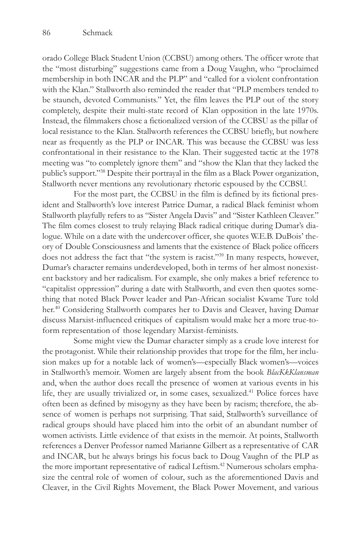orado College Black Student Union (CCBSU) among others. The officer wrote that the "most disturbing" suggestions came from a Doug Vaughn, who "proclaimed membership in both INCAR and the PLP" and "called for a violent confrontation with the Klan." Stallworth also reminded the reader that "PLP members tended to be staunch, devoted Communists." Yet, the film leaves the PLP out of the story completely, despite their multi-state record of Klan opposition in the late 1970s. Instead, the filmmakers chose a fictionalized version of the CCBSU as the pillar of local resistance to the Klan. Stallworth references the CCBSU briefly, but nowhere near as frequently as the PLP or INCAR. This was because the CCBSU was less confrontational in their resistance to the Klan. Their suggested tactic at the 1978 meeting was "to completely ignore them" and "show the Klan that they lacked the public's support."38 Despite their portrayal in the film as a Black Power organization, Stallworth never mentions any revolutionary rhetoric espoused by the CCBSU.

For the most part, the CCBSU in the film is defined by its fictional president and Stallworth's love interest Patrice Dumar, a radical Black feminist whom Stallworth playfully refers to as "Sister Angela Davis" and "Sister Kathleen Cleaver." The film comes closest to truly relaying Black radical critique during Dumar's dialogue. While on a date with the undercover officer, she quotes W.E.B. DuBois' theory of Double Consciousness and laments that the existence of Black police officers does not address the fact that "the system is racist."39 In many respects, however, Dumar's character remains underdeveloped, both in terms of her almost nonexistent backstory and her radicalism. For example, she only makes a brief reference to "capitalist oppression" during a date with Stallworth, and even then quotes something that noted Black Power leader and Pan-African socialist Kwame Ture told her.<sup>40</sup> Considering Stallworth compares her to Davis and Cleaver, having Dumar discuss Marxist-influenced critiques of capitalism would make her a more true-toform representation of those legendary Marxist-feminists.

Some might view the Dumar character simply as a crude love interest for the protagonist. While their relationship provides that trope for the film, her inclusion makes up for a notable lack of women's—especially Black women's—voices in Stallworth's memoir. Women are largely absent from the book *BlacKkKlansman* and, when the author does recall the presence of women at various events in his life, they are usually trivialized or, in some cases, sexualized.41 Police forces have often been as defined by misogyny as they have been by racism; therefore, the absence of women is perhaps not surprising. That said, Stallworth's surveillance of radical groups should have placed him into the orbit of an abundant number of women activists. Little evidence of that exists in the memoir. At points, Stallworth references a Denver Professor named Marianne Gilbert as a representative of CAR and INCAR, but he always brings his focus back to Doug Vaughn of the PLP as the more important representative of radical Leftism.<sup>42</sup> Numerous scholars emphasize the central role of women of colour, such as the aforementioned Davis and Cleaver, in the Civil Rights Movement, the Black Power Movement, and various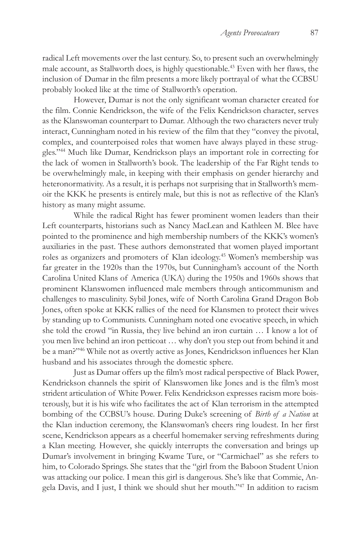radical Left movements over the last century. So, to present such an overwhelmingly male account, as Stallworth does, is highly questionable.43 Even with her flaws, the inclusion of Dumar in the film presents a more likely portrayal of what the CCBSU probably looked like at the time of Stallworth's operation.

However, Dumar is not the only significant woman character created for the film. Connie Kendrickson, the wife of the Felix Kendrickson character, serves as the Klanswoman counterpart to Dumar. Although the two characters never truly interact, Cunningham noted in his review of the film that they "convey the pivotal, complex, and counterpoised roles that women have always played in these struggles."44 Much like Dumar, Kendrickson plays an important role in correcting for the lack of women in Stallworth's book. The leadership of the Far Right tends to be overwhelmingly male, in keeping with their emphasis on gender hierarchy and heteronormativity. As a result, it is perhaps not surprising that in Stallworth's memoir the KKK he presents is entirely male, but this is not as reflective of the Klan's history as many might assume.

While the radical Right has fewer prominent women leaders than their Left counterparts, historians such as Nancy MacLean and Kathleen M. Blee have pointed to the prominence and high membership numbers of the KKK's women's auxiliaries in the past. These authors demonstrated that women played important roles as organizers and promoters of Klan ideology.45 Women's membership was far greater in the 1920s than the 1970s, but Cunningham's account of the North Carolina United Klans of America (UKA) during the 1950s and 1960s shows that prominent Klanswomen influenced male members through anticommunism and challenges to masculinity. Sybil Jones, wife of North Carolina Grand Dragon Bob Jones, often spoke at KKK rallies of the need for Klansmen to protect their wives by standing up to Communists. Cunningham noted one evocative speech, in which she told the crowd "in Russia, they live behind an iron curtain … I know a lot of you men live behind an iron petticoat … why don't you step out from behind it and be a man?"46 While not as overtly active as Jones, Kendrickson influences her Klan husband and his associates through the domestic sphere.

Just as Dumar offers up the film's most radical perspective of Black Power, Kendrickson channels the spirit of Klanswomen like Jones and is the film's most strident articulation of White Power. Felix Kendrickson expresses racism more boisterously, but it is his wife who facilitates the act of Klan terrorism in the attempted bombing of the CCBSU's house. During Duke's screening of *Birth of a Nation* at the Klan induction ceremony, the Klanswoman's cheers ring loudest. In her first scene, Kendrickson appears as a cheerful homemaker serving refreshments during a Klan meeting. However, she quickly interrupts the conversation and brings up Dumar's involvement in bringing Kwame Ture, or "Carmichael" as she refers to him, to Colorado Springs. She states that the "girl from the Baboon Student Union was attacking our police. I mean this girl is dangerous. She's like that Commie, Angela Davis, and I just, I think we should shut her mouth."47 In addition to racism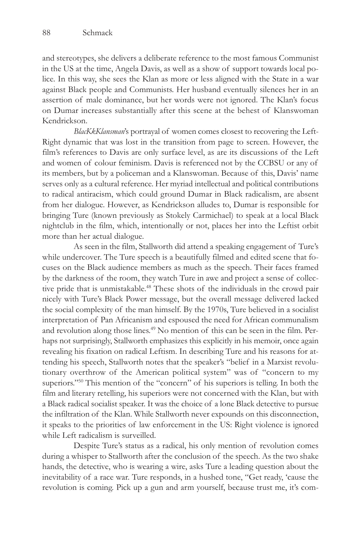and stereotypes, she delivers a deliberate reference to the most famous Communist in the US at the time, Angela Davis, as well as a show of support towards local police. In this way, she sees the Klan as more or less aligned with the State in a war against Black people and Communists. Her husband eventually silences her in an assertion of male dominance, but her words were not ignored. The Klan's focus on Dumar increases substantially after this scene at the behest of Klanswoman Kendrickson.

*BlacKkKlansman*'s portrayal of women comes closest to recovering the Left-Right dynamic that was lost in the transition from page to screen. However, the film's references to Davis are only surface level, as are its discussions of the Left and women of colour feminism. Davis is referenced not by the CCBSU or any of its members, but by a policeman and a Klanswoman. Because of this, Davis' name serves only as a cultural reference. Her myriad intellectual and political contributions to radical antiracism, which could ground Dumar in Black radicalism, are absent from her dialogue. However, as Kendrickson alludes to, Dumar is responsible for bringing Ture (known previously as Stokely Carmichael) to speak at a local Black nightclub in the film, which, intentionally or not, places her into the Leftist orbit more than her actual dialogue.

As seen in the film, Stallworth did attend a speaking engagement of Ture's while undercover. The Ture speech is a beautifully filmed and edited scene that focuses on the Black audience members as much as the speech. Their faces framed by the darkness of the room, they watch Ture in awe and project a sense of collective pride that is unmistakable.<sup>48</sup> These shots of the individuals in the crowd pair nicely with Ture's Black Power message, but the overall message delivered lacked the social complexity of the man himself. By the 1970s, Ture believed in a socialist interpretation of Pan Africanism and espoused the need for African communalism and revolution along those lines.<sup>49</sup> No mention of this can be seen in the film. Perhaps not surprisingly, Stallworth emphasizes this explicitly in his memoir, once again revealing his fixation on radical Leftism. In describing Ture and his reasons for attending his speech, Stallworth notes that the speaker's "belief in a Marxist revolutionary overthrow of the American political system" was of "concern to my superiors."50 This mention of the "concern" of his superiors is telling. In both the film and literary retelling, his superiors were not concerned with the Klan, but with a Black radical socialist speaker. It was the choice of a lone Black detective to pursue the infiltration of the Klan. While Stallworth never expounds on this disconnection, it speaks to the priorities of law enforcement in the US: Right violence is ignored while Left radicalism is surveilled.

Despite Ture's status as a radical, his only mention of revolution comes during a whisper to Stallworth after the conclusion of the speech. As the two shake hands, the detective, who is wearing a wire, asks Ture a leading question about the inevitability of a race war. Ture responds, in a hushed tone, "Get ready, 'cause the revolution is coming. Pick up a gun and arm yourself, because trust me, it's com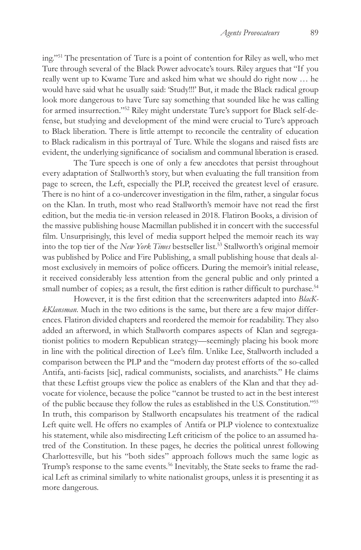ing."51 The presentation of Ture is a point of contention for Riley as well, who met Ture through several of the Black Power advocate's tours. Riley argues that "If you really went up to Kwame Ture and asked him what we should do right now … he would have said what he usually said: 'Study!!!' But, it made the Black radical group look more dangerous to have Ture say something that sounded like he was calling for armed insurrection."52 Riley might understate Ture's support for Black self-defense, but studying and development of the mind were crucial to Ture's approach to Black liberation. There is little attempt to reconcile the centrality of education to Black radicalism in this portrayal of Ture. While the slogans and raised fists are evident, the underlying significance of socialism and communal liberation is erased.

The Ture speech is one of only a few anecdotes that persist throughout every adaptation of Stallworth's story, but when evaluating the full transition from page to screen, the Left, especially the PLP, received the greatest level of erasure. There is no hint of a co-undercover investigation in the film, rather, a singular focus on the Klan. In truth, most who read Stallworth's memoir have not read the first edition, but the media tie-in version released in 2018. Flatiron Books, a division of the massive publishing house Macmillan published it in concert with the successful film. Unsurprisingly, this level of media support helped the memoir reach its way into the top tier of the *New York Times* bestseller list.<sup>53</sup> Stallworth's original memoir was published by Police and Fire Publishing, a small publishing house that deals almost exclusively in memoirs of police officers. During the memoir's initial release, it received considerably less attention from the general public and only printed a small number of copies; as a result, the first edition is rather difficult to purchase.<sup>54</sup>

However, it is the first edition that the screenwriters adapted into *BlacKkKlansman*. Much in the two editions is the same, but there are a few major differences. Flatiron divided chapters and reordered the memoir for readability. They also added an afterword, in which Stallworth compares aspects of Klan and segregationist politics to modern Republican strategy—seemingly placing his book more in line with the political direction of Lee's film. Unlike Lee, Stallworth included a comparison between the PLP and the "modern day protest efforts of the so-called Antifa, anti-facists [sic], radical communists, socialists, and anarchists." He claims that these Leftist groups view the police as enablers of the Klan and that they advocate for violence, because the police "cannot be trusted to act in the best interest of the public because they follow the rules as established in the U.S. Constitution."55 In truth, this comparison by Stallworth encapsulates his treatment of the radical Left quite well. He offers no examples of Antifa or PLP violence to contextualize his statement, while also misdirecting Left criticism of the police to an assumed hatred of the Constitution. In these pages, he decries the political unrest following Charlottesville, but his "both sides" approach follows much the same logic as Trump's response to the same events.<sup>56</sup> Inevitably, the State seeks to frame the radical Left as criminal similarly to white nationalist groups, unless it is presenting it as more dangerous.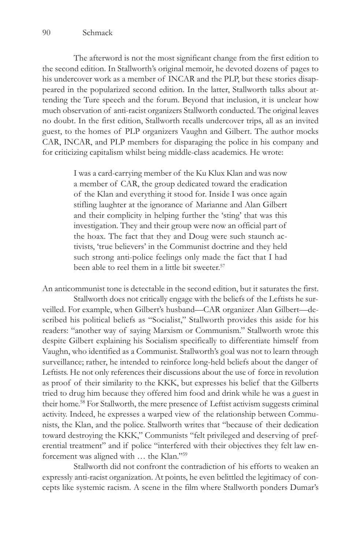The afterword is not the most significant change from the first edition to the second edition. In Stallworth's original memoir, he devoted dozens of pages to his undercover work as a member of INCAR and the PLP, but these stories disappeared in the popularized second edition. In the latter, Stallworth talks about attending the Ture speech and the forum. Beyond that inclusion, it is unclear how much observation of anti-racist organizers Stallworth conducted. The original leaves no doubt. In the first edition, Stallworth recalls undercover trips, all as an invited guest, to the homes of PLP organizers Vaughn and Gilbert. The author mocks CAR, INCAR, and PLP members for disparaging the police in his company and for criticizing capitalism whilst being middle-class academics. He wrote:

> I was a card-carrying member of the Ku Klux Klan and was now a member of CAR, the group dedicated toward the eradication of the Klan and everything it stood for. Inside I was once again stifling laughter at the ignorance of Marianne and Alan Gilbert and their complicity in helping further the 'sting' that was this investigation. They and their group were now an official part of the hoax. The fact that they and Doug were such staunch activists, 'true believers' in the Communist doctrine and they held such strong anti-police feelings only made the fact that I had been able to reel them in a little bit sweeter.<sup>57</sup>

An anticommunist tone is detectable in the second edition, but it saturates the first.

Stallworth does not critically engage with the beliefs of the Leftists he surveilled. For example, when Gilbert's husband—CAR organizer Alan Gilbert—described his political beliefs as "Socialist," Stallworth provides this aside for his readers: "another way of saying Marxism or Communism." Stallworth wrote this despite Gilbert explaining his Socialism specifically to differentiate himself from Vaughn, who identified as a Communist. Stallworth's goal was not to learn through surveillance; rather, he intended to reinforce long-held beliefs about the danger of Leftists. He not only references their discussions about the use of force in revolution as proof of their similarity to the KKK, but expresses his belief that the Gilberts tried to drug him because they offered him food and drink while he was a guest in their home.58 For Stallworth, the mere presence of Leftist activism suggests criminal activity. Indeed, he expresses a warped view of the relationship between Communists, the Klan, and the police. Stallworth writes that "because of their dedication toward destroying the KKK," Communists "felt privileged and deserving of preferential treatment" and if police "interfered with their objectives they felt law enforcement was aligned with … the Klan."59

Stallworth did not confront the contradiction of his efforts to weaken an expressly anti-racist organization. At points, he even belittled the legitimacy of concepts like systemic racism. A scene in the film where Stallworth ponders Dumar's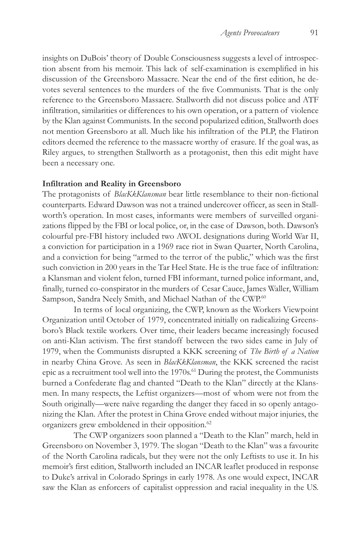insights on DuBois' theory of Double Consciousness suggests a level of introspection absent from his memoir. This lack of self-examination is exemplified in his discussion of the Greensboro Massacre. Near the end of the first edition, he devotes several sentences to the murders of the five Communists. That is the only reference to the Greensboro Massacre. Stallworth did not discuss police and ATF infiltration, similarities or differences to his own operation, or a pattern of violence by the Klan against Communists. In the second popularized edition, Stallworth does not mention Greensboro at all. Much like his infiltration of the PLP, the Flatiron editors deemed the reference to the massacre worthy of erasure. If the goal was, as Riley argues, to strengthen Stallworth as a protagonist, then this edit might have been a necessary one.

### **Infiltration and Reality in Greensboro**

The protagonists of *BlacKkKlansman* bear little resemblance to their non-fictional counterparts. Edward Dawson was not a trained undercover officer, as seen in Stallworth's operation. In most cases, informants were members of surveilled organizations flipped by the FBI or local police, or, in the case of Dawson, both. Dawson's colourful pre-FBI history included two AWOL designations during World War II, a conviction for participation in a 1969 race riot in Swan Quarter, North Carolina, and a conviction for being "armed to the terror of the public," which was the first such conviction in 200 years in the Tar Heel State. He is the true face of infiltration: a Klansman and violent felon, turned FBI informant, turned police informant, and, finally, turned co-conspirator in the murders of Cesar Cauce, James Waller, William Sampson, Sandra Neely Smith, and Michael Nathan of the CWP.<sup>60</sup>

In terms of local organizing, the CWP, known as the Workers Viewpoint Organization until October of 1979, concentrated initially on radicalizing Greensboro's Black textile workers. Over time, their leaders became increasingly focused on anti-Klan activism. The first standoff between the two sides came in July of 1979, when the Communists disrupted a KKK screening of *The Birth of a Nation*  in nearby China Grove. As seen in *BlacKkKlansman*, the KKK screened the racist epic as a recruitment tool well into the 1970s.<sup>61</sup> During the protest, the Communists burned a Confederate flag and chanted "Death to the Klan" directly at the Klansmen. In many respects, the Leftist organizers—most of whom were not from the South originally—were naïve regarding the danger they faced in so openly antagonizing the Klan. After the protest in China Grove ended without major injuries, the organizers grew emboldened in their opposition.<sup>62</sup>

The CWP organizers soon planned a "Death to the Klan" march, held in Greensboro on November 3, 1979. The slogan "Death to the Klan" was a favourite of the North Carolina radicals, but they were not the only Leftists to use it. In his memoir's first edition, Stallworth included an INCAR leaflet produced in response to Duke's arrival in Colorado Springs in early 1978. As one would expect, INCAR saw the Klan as enforcers of capitalist oppression and racial inequality in the US.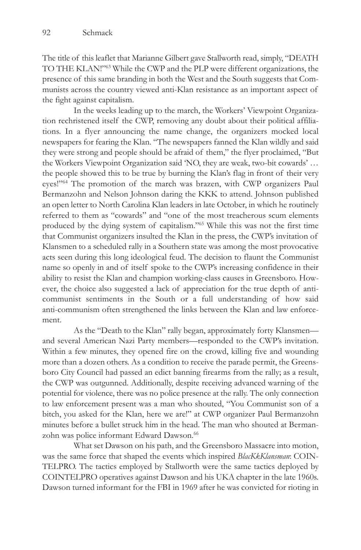The title of this leaflet that Marianne Gilbert gave Stallworth read, simply, "DEATH TO THE KLAN!"63 While the CWP and the PLP were different organizations, the presence of this same branding in both the West and the South suggests that Communists across the country viewed anti-Klan resistance as an important aspect of the fight against capitalism.

In the weeks leading up to the march, the Workers' Viewpoint Organization rechristened itself the CWP, removing any doubt about their political affiliations. In a flyer announcing the name change, the organizers mocked local newspapers for fearing the Klan. "The newspapers fanned the Klan wildly and said they were strong and people should be afraid of them," the flyer proclaimed, "But the Workers Viewpoint Organization said 'NO, they are weak, two-bit cowards' … the people showed this to be true by burning the Klan's flag in front of their very eyes!"64 The promotion of the march was brazen, with CWP organizers Paul Bermanzohn and Nelson Johnson daring the KKK to attend. Johnson published an open letter to North Carolina Klan leaders in late October, in which he routinely referred to them as "cowards" and "one of the most treacherous scum elements produced by the dying system of capitalism."65 While this was not the first time that Communist organizers insulted the Klan in the press, the CWP's invitation of Klansmen to a scheduled rally in a Southern state was among the most provocative acts seen during this long ideological feud. The decision to flaunt the Communist name so openly in and of itself spoke to the CWP's increasing confidence in their ability to resist the Klan and champion working-class causes in Greensboro. However, the choice also suggested a lack of appreciation for the true depth of anticommunist sentiments in the South or a full understanding of how said anti-communism often strengthened the links between the Klan and law enforcement.

As the "Death to the Klan" rally began, approximately forty Klansmen and several American Nazi Party members—responded to the CWP's invitation. Within a few minutes, they opened fire on the crowd, killing five and wounding more than a dozen others. As a condition to receive the parade permit, the Greensboro City Council had passed an edict banning firearms from the rally; as a result, the CWP was outgunned. Additionally, despite receiving advanced warning of the potential for violence, there was no police presence at the rally. The only connection to law enforcement present was a man who shouted, "You Communist son of a bitch, you asked for the Klan, here we are!" at CWP organizer Paul Bermanzohn minutes before a bullet struck him in the head. The man who shouted at Bermanzohn was police informant Edward Dawson.<sup>66</sup>

What set Dawson on his path, and the Greensboro Massacre into motion, was the same force that shaped the events which inspired *BlacKkKlansman*: COIN-TELPRO. The tactics employed by Stallworth were the same tactics deployed by COINTELPRO operatives against Dawson and his UKA chapter in the late 1960s. Dawson turned informant for the FBI in 1969 after he was convicted for rioting in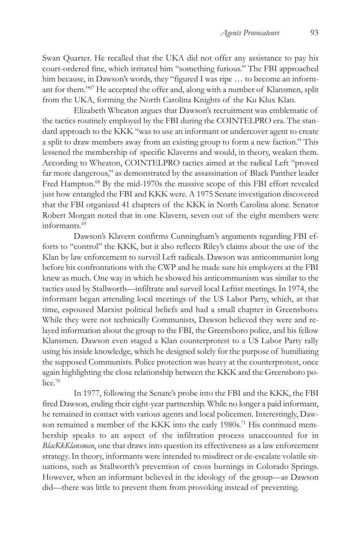Swan Quarter. He recalled that the UKA did not offer any assistance to pay his court-ordered fine, which irritated him "something furious." The FBI approached him because, in Dawson's words, they "figured I was ripe ... to become an informant for them."67 He accepted the offer and, along with a number of Klansmen, split from the UKA, forming the North Carolina Knights of the Ku Klux Klan.

Elizabeth Wheaton argues that Dawson's recruitment was emblematic of the tactics routinely employed by the FBI during the COINTELPRO era. The standard approach to the KKK "was to use an informant or undercover agent to create a split to draw members away from an existing group to form a new faction." This lessened the membership of specific Klaverns and would, in theory, weaken them. According to Wheaton, COINTELPRO tactics aimed at the radical Left "proved far more dangerous," as demonstrated by the assassination of Black Panther leader Fred Hampton.<sup>68</sup> By the mid-1970s the massive scope of this FBI effort revealed just how entangled the FBI and KKK were. A 1975 Senate investigation discovered that the FBI organized 41 chapters of the KKK in North Carolina alone. Senator Robert Morgan noted that in one Klavern, seven out of the eight members were informants.69

Dawson's Klavern confirms Cunningham's arguments regarding FBI efforts to "control" the KKK, but it also reflects Riley's claims about the use of the Klan by law enforcement to surveil Left radicals. Dawson was anticommunist long before his confrontations with the CWP and he made sure his employers at the FBI knew as much. One way in which he showed his anticommunism was similar to the tactics used by Stallworth—infiltrate and surveil local Leftist meetings. In 1974, the informant began attending local meetings of the US Labor Party, which, at that time, espoused Marxist political beliefs and had a small chapter in Greensboro. While they were not technically Communists, Dawson believed they were and relayed information about the group to the FBI, the Greensboro police, and his fellow Klansmen. Dawson even staged a Klan counterprotest to a US Labor Party rally using his inside knowledge, which he designed solely for the purpose of humiliating the supposed Communists. Police protection was heavy at the counterprotest, once again highlighting the close relationship between the KKK and the Greensboro police.<sup>70</sup>

In 1977, following the Senate's probe into the FBI and the KKK, the FBI fired Dawson, ending their eight-year partnership. While no longer a paid informant, he remained in contact with various agents and local policemen. Interestingly, Dawson remained a member of the KKK into the early 1980s.<sup>71</sup> His continued membership speaks to an aspect of the infiltration process unaccounted for in *BlacKkKlansman*, one that draws into question its effectiveness as a law enforcement strategy. In theory, informants were intended to misdirect or de-escalate volatile situations, such as Stallworth's prevention of cross burnings in Colorado Springs. However, when an informant believed in the ideology of the group—as Dawson did—there was little to prevent them from provoking instead of preventing.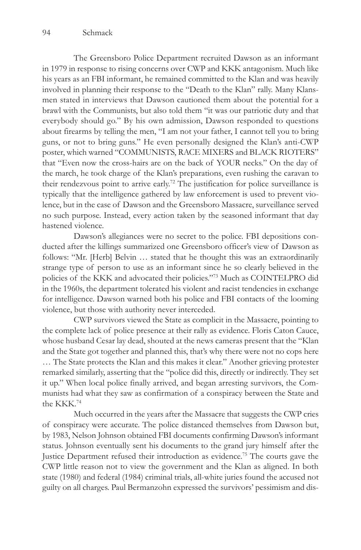The Greensboro Police Department recruited Dawson as an informant in 1979 in response to rising concerns over CWP and KKK antagonism. Much like his years as an FBI informant, he remained committed to the Klan and was heavily involved in planning their response to the "Death to the Klan" rally. Many Klansmen stated in interviews that Dawson cautioned them about the potential for a brawl with the Communists, but also told them "it was our patriotic duty and that everybody should go." By his own admission, Dawson responded to questions about firearms by telling the men, "I am not your father, I cannot tell you to bring guns, or not to bring guns." He even personally designed the Klan's anti-CWP poster, which warned "COMMUNISTS, RACE MIXERS and BLACK RIOTERS" that "Even now the cross-hairs are on the back of YOUR necks." On the day of the march, he took charge of the Klan's preparations, even rushing the caravan to their rendezvous point to arrive early.72 The justification for police surveillance is typically that the intelligence gathered by law enforcement is used to prevent violence, but in the case of Dawson and the Greensboro Massacre, surveillance served no such purpose. Instead, every action taken by the seasoned informant that day hastened violence.

Dawson's allegiances were no secret to the police. FBI depositions conducted after the killings summarized one Greensboro officer's view of Dawson as follows: "Mr. [Herb] Belvin … stated that he thought this was an extraordinarily strange type of person to use as an informant since he so clearly believed in the policies of the KKK and advocated their policies."73 Much as COINTELPRO did in the 1960s, the department tolerated his violent and racist tendencies in exchange for intelligence. Dawson warned both his police and FBI contacts of the looming violence, but those with authority never interceded.

CWP survivors viewed the State as complicit in the Massacre, pointing to the complete lack of police presence at their rally as evidence. Floris Caton Cauce, whose husband Cesar lay dead, shouted at the news cameras present that the "Klan and the State got together and planned this, that's why there were not no cops here … The State protects the Klan and this makes it clear." Another grieving protester remarked similarly, asserting that the "police did this, directly or indirectly. They set it up." When local police finally arrived, and began arresting survivors, the Communists had what they saw as confirmation of a conspiracy between the State and the KKK.74

Much occurred in the years after the Massacre that suggests the CWP cries of conspiracy were accurate. The police distanced themselves from Dawson but, by 1983, Nelson Johnson obtained FBI documents confirming Dawson's informant status. Johnson eventually sent his documents to the grand jury himself after the Justice Department refused their introduction as evidence.<sup>75</sup> The courts gave the CWP little reason not to view the government and the Klan as aligned. In both state (1980) and federal (1984) criminal trials, all-white juries found the accused not guilty on all charges. Paul Bermanzohn expressed the survivors' pessimism and dis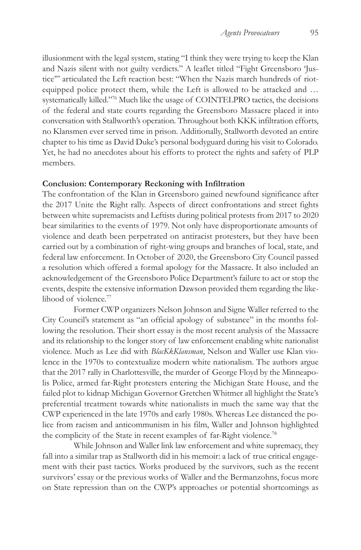illusionment with the legal system, stating "I think they were trying to keep the Klan and Nazis silent with not guilty verdicts." A leaflet titled "Fight Greensboro 'Justice'" articulated the Left reaction best: "When the Nazis march hundreds of riotequipped police protect them, while the Left is allowed to be attacked and … systematically killed."76 Much like the usage of COINTELPRO tactics, the decisions of the federal and state courts regarding the Greensboro Massacre placed it into conversation with Stallworth's operation. Throughout both KKK infiltration efforts, no Klansmen ever served time in prison. Additionally, Stallworth devoted an entire chapter to his time as David Duke's personal bodyguard during his visit to Colorado. Yet, he had no anecdotes about his efforts to protect the rights and safety of PLP members.

### **Conclusion: Contemporary Reckoning with Infiltration**

The confrontation of the Klan in Greensboro gained newfound significance after the 2017 Unite the Right rally. Aspects of direct confrontations and street fights between white supremacists and Leftists during political protests from 2017 to 2020 bear similarities to the events of 1979. Not only have disproportionate amounts of violence and death been perpetrated on antiracist protesters, but they have been carried out by a combination of right-wing groups and branches of local, state, and federal law enforcement. In October of 2020, the Greensboro City Council passed a resolution which offered a formal apology for the Massacre. It also included an acknowledgement of the Greensboro Police Department's failure to act or stop the events, despite the extensive information Dawson provided them regarding the likelihood of violence.<sup>77</sup>

Former CWP organizers Nelson Johnson and Signe Waller referred to the City Council's statement as "an official apology of substance" in the months following the resolution. Their short essay is the most recent analysis of the Massacre and its relationship to the longer story of law enforcement enabling white nationalist violence. Much as Lee did with *BlacKkKlansman*, Nelson and Waller use Klan violence in the 1970s to contextualize modern white nationalism. The authors argue that the 2017 rally in Charlottesville, the murder of George Floyd by the Minneapolis Police, armed far-Right protesters entering the Michigan State House, and the failed plot to kidnap Michigan Governor Gretchen Whitmer all highlight the State's preferential treatment towards white nationalists in much the same way that the CWP experienced in the late 1970s and early 1980s. Whereas Lee distanced the police from racism and anticommunism in his film, Waller and Johnson highlighted the complicity of the State in recent examples of far-Right violence.78

While Johnson and Waller link law enforcement and white supremacy, they fall into a similar trap as Stallworth did in his memoir: a lack of true critical engagement with their past tactics. Works produced by the survivors, such as the recent survivors' essay or the previous works of Waller and the Bermanzohns, focus more on State repression than on the CWP's approaches or potential shortcomings as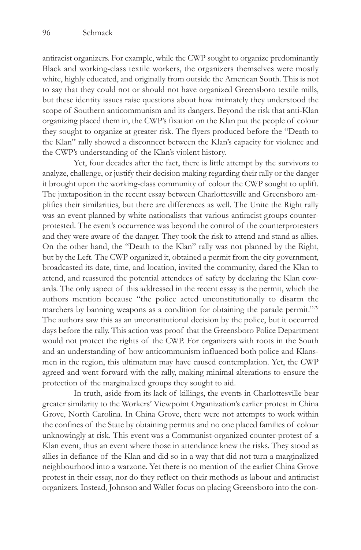antiracist organizers. For example, while the CWP sought to organize predominantly Black and working-class textile workers, the organizers themselves were mostly white, highly educated, and originally from outside the American South. This is not to say that they could not or should not have organized Greensboro textile mills, but these identity issues raise questions about how intimately they understood the scope of Southern anticommunism and its dangers. Beyond the risk that anti-Klan organizing placed them in, the CWP's fixation on the Klan put the people of colour they sought to organize at greater risk. The flyers produced before the "Death to the Klan" rally showed a disconnect between the Klan's capacity for violence and the CWP's understanding of the Klan's violent history.

Yet, four decades after the fact, there is little attempt by the survivors to analyze, challenge, or justify their decision making regarding their rally or the danger it brought upon the working-class community of colour the CWP sought to uplift. The juxtaposition in the recent essay between Charlottesville and Greensboro amplifies their similarities, but there are differences as well. The Unite the Right rally was an event planned by white nationalists that various antiracist groups counterprotested. The event's occurrence was beyond the control of the counterprotesters and they were aware of the danger. They took the risk to attend and stand as allies. On the other hand, the "Death to the Klan" rally was not planned by the Right, but by the Left. The CWP organized it, obtained a permit from the city government, broadcasted its date, time, and location, invited the community, dared the Klan to attend, and reassured the potential attendees of safety by declaring the Klan cowards. The only aspect of this addressed in the recent essay is the permit, which the authors mention because "the police acted unconstitutionally to disarm the marchers by banning weapons as a condition for obtaining the parade permit."<sup>79</sup> The authors saw this as an unconstitutional decision by the police, but it occurred days before the rally. This action was proof that the Greensboro Police Department would not protect the rights of the CWP. For organizers with roots in the South and an understanding of how anticommunism influenced both police and Klansmen in the region, this ultimatum may have caused contemplation. Yet, the CWP agreed and went forward with the rally, making minimal alterations to ensure the protection of the marginalized groups they sought to aid.

In truth, aside from its lack of killings, the events in Charlottesville bear greater similarity to the Workers' Viewpoint Organization's earlier protest in China Grove, North Carolina. In China Grove, there were not attempts to work within the confines of the State by obtaining permits and no one placed families of colour unknowingly at risk. This event was a Communist-organized counter-protest of a Klan event, thus an event where those in attendance knew the risks. They stood as allies in defiance of the Klan and did so in a way that did not turn a marginalized neighbourhood into a warzone. Yet there is no mention of the earlier China Grove protest in their essay, nor do they reflect on their methods as labour and antiracist organizers. Instead, Johnson and Waller focus on placing Greensboro into the con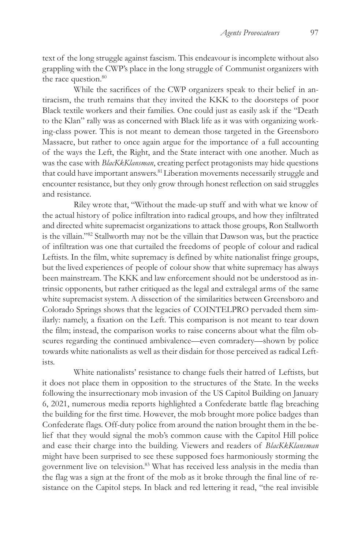text of the long struggle against fascism. This endeavour is incomplete without also grappling with the CWP's place in the long struggle of Communist organizers with the race question.<sup>80</sup>

While the sacrifices of the CWP organizers speak to their belief in antiracism, the truth remains that they invited the KKK to the doorsteps of poor Black textile workers and their families. One could just as easily ask if the "Death to the Klan" rally was as concerned with Black life as it was with organizing working-class power. This is not meant to demean those targeted in the Greensboro Massacre, but rather to once again argue for the importance of a full accounting of the ways the Left, the Right, and the State interact with one another. Much as was the case with *BlacKkKlansman*, creating perfect protagonists may hide questions that could have important answers.<sup>81</sup> Liberation movements necessarily struggle and encounter resistance, but they only grow through honest reflection on said struggles and resistance.

Riley wrote that, "Without the made-up stuff and with what we know of the actual history of police infiltration into radical groups, and how they infiltrated and directed white supremacist organizations to attack those groups, Ron Stallworth is the villain."82 Stallworth may not be the villain that Dawson was, but the practice of infiltration was one that curtailed the freedoms of people of colour and radical Leftists. In the film, white supremacy is defined by white nationalist fringe groups, but the lived experiences of people of colour show that white supremacy has always been mainstream. The KKK and law enforcement should not be understood as intrinsic opponents, but rather critiqued as the legal and extralegal arms of the same white supremacist system. A dissection of the similarities between Greensboro and Colorado Springs shows that the legacies of COINTELPRO pervaded them similarly: namely, a fixation on the Left. This comparison is not meant to tear down the film; instead, the comparison works to raise concerns about what the film obscures regarding the continued ambivalence—even comradery—shown by police towards white nationalists as well as their disdain for those perceived as radical Leftists.

White nationalists' resistance to change fuels their hatred of Leftists, but it does not place them in opposition to the structures of the State. In the weeks following the insurrectionary mob invasion of the US Capitol Building on January 6, 2021, numerous media reports highlighted a Confederate battle flag breaching the building for the first time. However, the mob brought more police badges than Confederate flags. Off-duty police from around the nation brought them in the belief that they would signal the mob's common cause with the Capitol Hill police and ease their charge into the building. Viewers and readers of *BlacKkKlansman*  might have been surprised to see these supposed foes harmoniously storming the government live on television.83 What has received less analysis in the media than the flag was a sign at the front of the mob as it broke through the final line of resistance on the Capitol steps. In black and red lettering it read, "the real invisible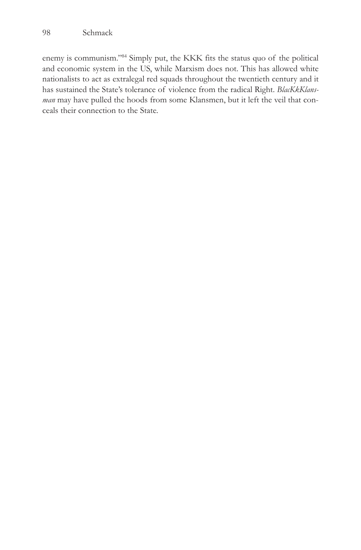enemy is communism."84 Simply put, the KKK fits the status quo of the political and economic system in the US, while Marxism does not. This has allowed white nationalists to act as extralegal red squads throughout the twentieth century and it has sustained the State's tolerance of violence from the radical Right. *BlacKkKlansman* may have pulled the hoods from some Klansmen, but it left the veil that conceals their connection to the State.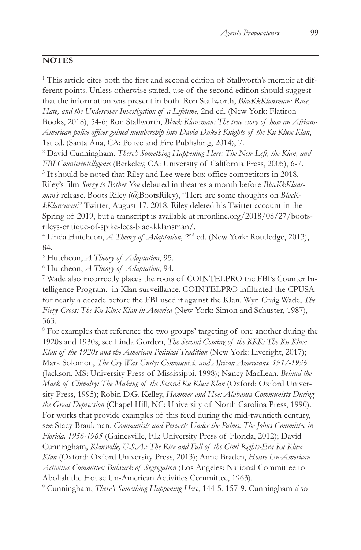# **NOTES**

<sup>1</sup> This article cites both the first and second edition of Stallworth's memoir at different points. Unless otherwise stated, use of the second edition should suggest that the information was present in both. Ron Stallworth, *BlacKkKlansman: Race, Hate, and the Undercover Investigation of a Lifetime*, 2nd ed. (New York: Flatiron Books, 2018), 54-6; Ron Stallworth, *Black Klansman: The true story of how an African-American police officer gained membership into David Duke's Knights of the Ku Klux Klan*, 1st ed. (Santa Ana, CA: Police and Fire Publishing, 2014), 7.

2 David Cunningham, *There's Something Happening Here: The New Left, the Klan, and FBI Counterintelligence* (Berkeley, CA: University of California Press, 2005), 6-7. <sup>3</sup> It should be noted that Riley and Lee were box office competitors in 2018. Riley's film *Sorry to Bother You* debuted in theatres a month before *BlacKkKlansman's* release. Boots Riley (@BootsRiley), "Here are some thoughts on *BlacKkKlansman*," Twitter, August 17, 2018. Riley deleted his Twitter account in the Spring of 2019, but a transcript is available at mronline.org/2018/08/27/bootsrileys-critique-of-spike-lees-blackkklansman/.

<sup>4</sup> Linda Hutcheon, *A Theory of Adaptation*, 2<sup>nd</sup> ed. (New York: Routledge, 2013), 84.

<sup>5</sup> Hutcheon, *A Theory of Adaptation*, 95.<br><sup>6</sup> Hutcheon, *A Theory of Adaptation*, 94.

Hutcheon, *A Theory of Adaptation*, 94. 7

 Wade also incorrectly places the roots of COINTELPRO the FBI's Counter Intelligence Program, in Klan surveillance. COINTELPRO infiltrated the CPUSA for nearly a decade before the FBI used it against the Klan. Wyn Craig Wade, *The Fiery Cross: The Ku Klux Klan in America* (New York: Simon and Schuster, 1987), 363.

<sup>8</sup> For examples that reference the two groups' targeting of one another during the 1920s and 1930s, see Linda Gordon, *The Second Coming of the KKK: The Ku Klux Klan of the 1920s and the American Political Tradition* (New York: Liveright, 2017); Mark Solomon, *The Cry Was Unity: Communists and African Americans, 1917-1936* (Jackson, MS: University Press of Mississippi, 1998); Nancy MacLean, *Behind the Mask of Chivalry: The Making of the Second Ku Klux Klan* (Oxford: Oxford University Press, 1995); Robin D.G. Kelley, *Hammer and Hoe: Alabama Communists During the Great Depression* (Chapel Hill, NC: University of North Carolina Press, 1990). For works that provide examples of this feud during the mid-twentieth century, see Stacy Braukman, *Communists and Perverts Under the Palms: The Johns Committee in Florida, 1956-1965* (Gainesville, FL: University Press of Florida, 2012); David Cunningham, *Klansville, U.S.A.: The Rise and Fall of the Civil Rights-Era Ku Klux Klan* (Oxford: Oxford University Press, 2013); Anne Braden, *House Un-American Activities Committee: Bulwark of Segregation* (Los Angeles: National Committee to Abolish the House Un-American Activities Committee, 1963).

9 Cunningham, *There's Something Happening Here*, 144-5, 157-9. Cunningham also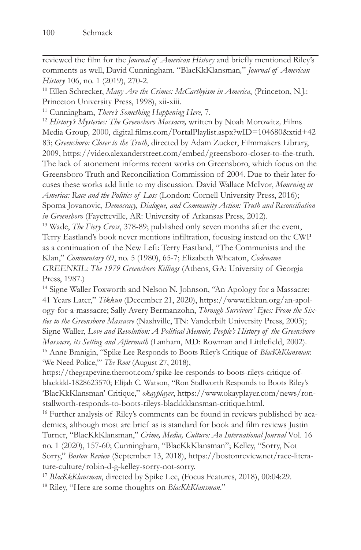reviewed the film for the *Journal of American History* and briefly mentioned Riley's comments as well, David Cunningham. "BlacKkKlansman*,*" *Journal of American History* 106, no. 1 (2019), 270-2.<br><sup>10</sup> Ellen Schrecker, *Many Are the Crimes: McCarthyism in America*, (Princeton, N.J.:

Princeton University Press, 1998), xii-xiii.

11 Cunningham, *There's Something Happening Here,* 7.

<sup>12</sup> *History's Mysteries: The Greensboro Massacre,* written by Noah Morowitz*,* Films Media Group*,* 2000, digital.films.com/PortalPlaylist.aspx?wID=104680&xtid+42 83; *Greensboro: Closer to the Truth*, directed by Adam Zucker, Filmmakers Library, 2009, https://video.alexanderstreet.com/embed/greensboro-closer-to-the-truth. The lack of atonement informs recent works on Greensboro, which focus on the Greensboro Truth and Reconciliation Commission of 2004. Due to their later focuses these works add little to my discussion. David Wallace McIvor, *Mourning in America: Race and the Politics of Loss* (London: Cornell University Press, 2016); Spoma Jovanovic, *Democracy, Dialogue, and Community Action: Truth and Reconciliation in Greensboro* (Fayetteville, AR: University of Arkansas Press, 2012). 13 Wade, *The Fiery Cross*, 378-89; published only seven months after the event,

Terry Eastland's book never mentions infiltration, focusing instead on the CWP as a continuation of the New Left: Terry Eastland, "The Communists and the Klan," *Commentary* 69, no. 5 (1980), 65-7; Elizabeth Wheaton, *Codename GREENKIL: The 1979 Greensboro Killings* (Athens, GA: University of Georgia Press, 1987.)

<sup>14</sup> Signe Waller Foxworth and Nelson N. Johnson, "An Apology for a Massacre: 41 Years Later," *Tikkun* (December 21, 2020), https://www.tikkun.org/an-apology-for-a-massacre; Sally Avery Bermanzohn, *Through Survivors' Eyes: From the Sixties to the Greensboro Massacre* (Nashville, TN: Vanderbilt University Press, 2003); Signe Waller, *Love and Revolution: A Political Memoir, People's History of the Greensboro Massacre, its Setting and Aftermath* (Lanham, MD: Rowman and Littlefield, 2002). 15 Anne Branigin, "Spike Lee Responds to Boots Riley's Critique of *BlacKkKlansman*: 'We Need Police,'" *The Root* (August 27, 2018),

https://thegrapevine.theroot.com/spike-lee-responds-to-boots-rileys-critique-ofblackkkl-1828623570; Elijah C. Watson, "Ron Stallworth Responds to Boots Riley's 'BlacKkKlansman' Critique," *okayplayer*, https://www.okayplayer.com/news/ronstallworth-responds-to-boots-rileys-blackkklansman-critique.html.

<sup>16</sup> Further analysis of Riley's comments can be found in reviews published by academics, although most are brief as is standard for book and film reviews Justin Turner, "BlacKkKlansman," *Crime, Media, Culture: An International Journal* Vol. 16 no. 1 (2020), 157-60; Cunningham, "BlacKkKlansman"; Kelley, "Sorry, Not Sorry," *Boston Review* (September 13, 2018), https://bostonreview.net/race-literature-culture/robin-d-g-kelley-sorry-not-sorry.

<sup>17</sup> *BlacKkKlansman*, directed by Spike Lee, (Focus Features, 2018), 00:04:29. 18 Riley, "Here are some thoughts on *BlacKkKlansman*."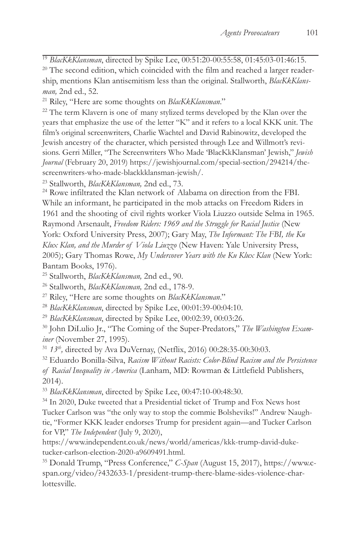<sup>19</sup> *BlacKkKlansman*, directed by Spike Lee, 00:51:20-00:55:58, 01:45:03-01:46:15.<br><sup>20</sup> The second edition, which coincided with the film and reached a larger readership, mentions Klan antisemitism less than the original. Stallworth, *BlacKkKlansman,* 2nd ed., 52. 21 Riley, "Here are some thoughts on *BlacKkKlansman*." 22 The term Klavern is one of many stylized terms developed by the Klan over the

years that emphasize the use of the letter "K" and it refers to a local KKK unit. The film's original screenwriters, Charlie Wachtel and David Rabinowitz, developed the Jewish ancestry of the character, which persisted through Lee and Willmott's revisions. Gerri Miller, "The Screenwriters Who Made 'BlacKkKlansman' Jewish," *Jewish Journal* (February 20, 2019) https://jewishjournal.com/special-section/294214/thescreenwriters-who-made-blackkklansman-jewish/.

<sup>23</sup> Stallworth, *BlacKkKlansman*, 2nd ed., 73.<br><sup>24</sup> Rowe infiltrated the Klan network of Alabama on direction from the FBI. While an informant, he participated in the mob attacks on Freedom Riders in 1961 and the shooting of civil rights worker Viola Liuzzo outside Selma in 1965. Raymond Arsenault, *Freedom Riders: 1969 and the Struggle for Racial Justice* (New York: Oxford University Press, 2007); Gary May, *The Informant: The FBI, the Ku Klux Klan, and the Murder of Viola Liuzzo* (New Haven: Yale University Press, 2005); Gary Thomas Rowe, *My Undercover Years with the Ku Klux Klan* (New York: Bantam Books, 1976).

<sup>25</sup> Stallworth, *BlacKkKlansman*, 2nd ed., 90.<br><sup>26</sup> Stallworth, *BlacKkKlansman*, 2nd ed., 178-9.<br><sup>27</sup> Riley, "Here are some thoughts on *BlacKkKlansman.*"<br><sup>28</sup> *BlacKkKlansman*, directed by Spike Lee, 00:01:39-00:04:10.<br> *iner* (November 27, 1995). 31 *13th,* directed by Ava DuVernay, (Netflix, 2016) 00:28:35-00:30:03. 32 Eduardo Bonilla-Silva, *Racism Without Racists: Color-Blind Racism and the Persistence* 

*of Racial Inequality in America* (Lanham, MD: Rowman & Littlefield Publishers, 2014).

<sup>33</sup> *BlacKkKlansman*, directed by Spike Lee, 00:47:10-00:48:30.<br><sup>34</sup> In 2020, Duke tweeted that a Presidential ticket of Trump and Fox News host Tucker Carlson was "the only way to stop the commie Bolsheviks!" Andrew Naughtie, "Former KKK leader endorses Trump for president again—and Tucker Carlson for VP," *The Independent* (July 9, 2020),

https://www.independent.co.uk/news/world/americas/kkk-trump-david-duketucker-carlson-election-2020-a9609491.html.

35 Donald Trump, "Press Conference," *C-Span* (August 15, 2017), https://www.cspan.org/video/?432633-1/president-trump-there-blame-sides-violence-charlottesville.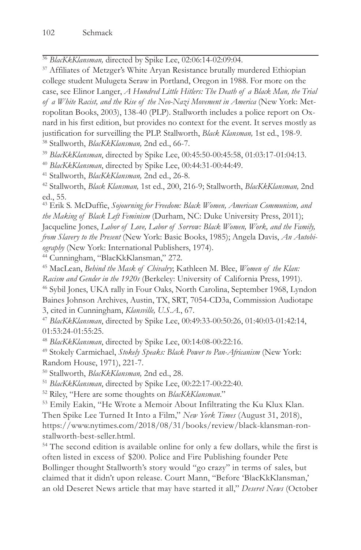<sup>36</sup> *BlacKkKlansman,* directed by Spike Lee, 02:06:14-02:09:04. 37 Affiliates of Metzger's White Aryan Resistance brutally murdered Ethiopian college student Mulugeta Seraw in Portland, Oregon in 1988. For more on the case, see Elinor Langer, *A Hundred Little Hitlers: The Death of a Black Man, the Trial of a White Racist, and the Rise of the Neo-Nazi Movement in America* (New York: Metropolitan Books, 2003), 138-40 (PLP). Stallworth includes a police report on Oxnard in his first edition, but provides no context for the event. It serves mostly as justification for surveilling the PLP. Stallworth, *Black Klansman,* 1st ed., 198-9. 38 Stallworth, *BlacKkKlansman,* 2nd ed., 66-7.

<sup>39</sup> BlacKkKlansman, directed by Spike Lee, 00:45:50-00:45:58, 01:03:17-01:04:13.<br><sup>40</sup> BlacKkKlansman, directed by Spike Lee, 00:44:31-00:44:49.<br><sup>41</sup> Stallworth, *BlacKkKlansman*, 2nd ed., 26-8.<br><sup>42</sup> Stallworth, *Black Kla* ed., 55.

43 Erik S. McDuffie, *Sojourning for Freedom: Black Women, American Communism, and the Making of Black Left Feminism* (Durham, NC: Duke University Press, 2011); Jacqueline Jones, *Labor of Love, Labor of Sorrow: Black Women, Work, and the Family, from Slavery to the Present* (New York: Basic Books, 1985); Angela Davis, *An Autobiography* (New York: International Publishers, 1974). 44 Cunningham, "BlacKkKlansman," 272.

45 MacLean, *Behind the Mask of Chivalry*; Kathleen M. Blee, *Women of the Klan:* 

*Racism and Gender in the 1920s* (Berkeley: University of California Press, 1991). 46 Sybil Jones, UKA rally in Four Oaks, North Carolina, September 1968, Lyndon

Baines Johnson Archives, Austin, TX, SRT, 7054-CD3a, Commission Audiotape

3, cited in Cunningham, *Klansville, U.S.A.*, 67. 47 *BlacKkKlansman*, directed by Spike Lee, 00:49:33-00:50:26, 01:40:03-01:42:14, 01:53:24-01:55:25.

<sup>48</sup> *BlacKkKlansman*, directed by Spike Lee, 00:14:08-00:22:16. 49 Stokely Carmichael, *Stokely Speaks: Black Power to Pan-Africanism* (New York: Random House, 1971), 221-7.

<sup>50</sup> Stallworth, *BlacKkKlansman*, 2nd ed., 28.<br><sup>51</sup> *BlacKkKlansman*, directed by Spike Lee, 00:22:17-00:22:40.<br><sup>52</sup> Riley, "Here are some thoughts on *BlacKkKlansman.*"<br><sup>53</sup> Emily Eakin, "He Wrote a Memoir About Infiltra Then Spike Lee Turned It Into a Film," *New York Times* (August 31, 2018), https://www.nytimes.com/2018/08/31/books/review/black-klansman-ronstallworth-best-seller.html.

54 The second edition is available online for only a few dollars, while the first is often listed in excess of \$200. Police and Fire Publishing founder Pete Bollinger thought Stallworth's story would "go crazy" in terms of sales, but claimed that it didn't upon release. Court Mann, "Before 'BlacKkKlansman,' an old Deseret News article that may have started it all," *Deseret News* (October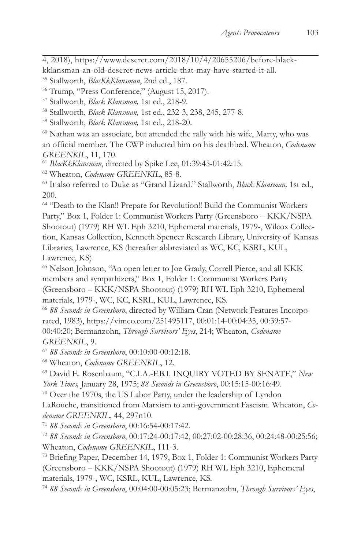4, 2018), https://www.deseret.com/2018/10/4/20655206/before-black-

kklansman-an-old-deseret-news-article-that-may-have-started-it-all.

<sup>55</sup> Stallworth, *BlacKkKlansman*, 2nd ed., 187.<br><sup>56</sup> Trump, "Press Conference," (August 15, 2017).

57 Stallworth, *Black Klansman,* 1st ed., 218-9. 58 Stallworth, *Black Klansman,* 1st ed., 232-3, 238, 245, 277-8. 59 Stallworth, *Black Klansman,* 1st ed., 218-20.

60 Nathan was an associate, but attended the rally with his wife, Marty, who was an official member. The CWP inducted him on his deathbed. Wheaton, *Codename*  GREENKIL, 11, 170.<br><sup>61</sup> BlacKkKlansman, directed by Spike Lee, 01:39:45-01:42:15.<br><sup>62</sup> Wheaton, *Codename GREENKIL*, 85-8.<br><sup>63</sup> It also referred to Duke as "Grand Lizard." Stallworth, *Black Klansman*, 1st ed.,

200.

64 "Death to the Klan!! Prepare for Revolution!! Build the Communist Workers Party," Box 1, Folder 1: Communist Workers Party (Greensboro – KKK/NSPA Shootout) (1979) RH WL Eph 3210, Ephemeral materials, 1979-, Wilcox Collection, Kansas Collection, Kenneth Spencer Research Library, University of Kansas Libraries, Lawrence, KS (hereafter abbreviated as WC, KC, KSRL, KUL, Lawrence, KS).

65 Nelson Johnson, "An open letter to Joe Grady, Correll Pierce, and all KKK members and sympathizers," Box 1, Folder 1: Communist Workers Party (Greensboro – KKK/NSPA Shootout) (1979) RH WL Eph 3210, Ephemeral materials, 1979-, WC, KC, KSRL, KUL, Lawrence, KS.

<sup>66</sup> *88 Seconds in Greensboro*, directed by William Cran (Network Features Incorporated, 1983), https://vimeo.com/251495117, 00:01:14-00:04:35, 00:39:57- 00:40:20; Bermanzohn, *Through Survivors' Eyes*, 214; Wheaton, *Codename GREENKIL, 9.*<br><sup>67</sup> 88 Seconds in Greensboro, 00:10:00-00:12:18.<br><sup>68</sup> Wheaton, *Codename GREENKIL*, 12.<br><sup>69</sup> David E. Rosenbaum, "C.I.A.-F.B.I. INQUIRY VOTED BY SENATE," *New* 

*York Times, January 28, 1975; 88 Seconds in Greensboro, 00:15:15-00:16:49.*<br><sup>70</sup> Over the 1970s, the US Labor Party, under the leadership of Lyndon

LaRouche, transitioned from Marxism to anti-government Fascism. Wheaton, *Codename GREENKIL, 44, 297n10.*<br><sup>71</sup> 88 Seconds in Greensboro, 00:16:54-00:17:42.<br><sup>72</sup> 88 Seconds in Greensboro, 00:17:24-00:17:42, 00:27:02-00:28:36, 00:24:48-00:25:56;

Wheaton, *Codename GREENKIL*, 111-3.<br><sup>73</sup> Briefing Paper, December 14, 1979, Box 1, Folder 1: Communist Workers Party

(Greensboro – KKK/NSPA Shootout) (1979) RH WL Eph 3210, Ephemeral materials, 1979-, WC, KSRL, KUL, Lawrence, KS.

<sup>74</sup> *88 Seconds in Greensboro*, 00:04:00-00:05:23; Bermanzohn, *Through Survivors' Eyes*,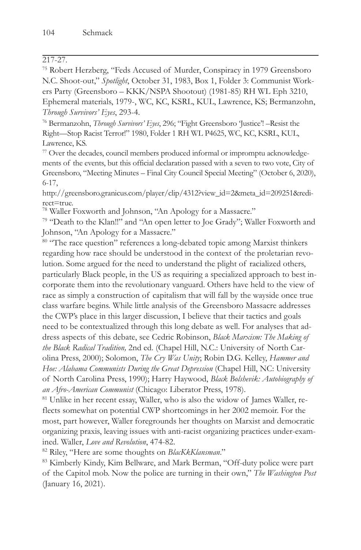## 217-27.

75 Robert Herzberg, "Feds Accused of Murder, Conspiracy in 1979 Greensboro N.C. Shoot-out," *Spotlight*, October 31, 1983, Box 1, Folder 3: Communist Workers Party (Greensboro – KKK/NSPA Shootout) (1981-85) RH WL Eph 3210, Ephemeral materials, 1979-, WC, KC, KSRL, KUL, Lawrence, KS; Bermanzohn, *Through Survivors' Eyes*, 293-4.<br><sup>76</sup> Bermanzohn, *Through Survivors' Eyes*, 296; "Fight Greensboro 'Justice'! –Resist the

Right—Stop Racist Terror!" 1980, Folder 1 RH WL P4625, WC, KC, KSRL, KUL, Lawrence, KS.

77 Over the decades, council members produced informal or impromptu acknowledgements of the events, but this official declaration passed with a seven to two vote, City of Greensboro, "Meeting Minutes – Final City Council Special Meeting" (October 6, 2020), 6-17,

http://greensboro.granicus.com/player/clip/4312?view\_id=2&meta\_id=209251&redirect=true.

78 Waller Foxworth and Johnson, "An Apology for a Massacre."

79 "Death to the Klan!!" and "An open letter to Joe Grady"; Waller Foxworth and Johnson, "An Apology for a Massacre."

<sup>80</sup> "The race question" references a long-debated topic among Marxist thinkers regarding how race should be understood in the context of the proletarian revolution. Some argued for the need to understand the plight of racialized others, particularly Black people, in the US as requiring a specialized approach to best incorporate them into the revolutionary vanguard. Others have held to the view of race as simply a construction of capitalism that will fall by the wayside once true class warfare begins. While little analysis of the Greensboro Massacre addresses the CWP's place in this larger discussion, I believe that their tactics and goals need to be contextualized through this long debate as well. For analyses that address aspects of this debate, see Cedric Robinson, *Black Marxism: The Making of the Black Radical Tradition,* 2nd ed. (Chapel Hill, N.C.: University of North Carolina Press, 2000); Solomon, *The Cry Was Unity*; Robin D.G. Kelley, *Hammer and Hoe: Alabama Communists During the Great Depression* (Chapel Hill, NC: University of North Carolina Press, 1990); Harry Haywood, *Black Bolshevik: Autobiography of* 

*an Afro-American Communist* (Chicago: Liberator Press, 1978). 81 Unlike in her recent essay, Waller, who is also the widow of James Waller, reflects somewhat on potential CWP shortcomings in her 2002 memoir. For the most, part however, Waller foregrounds her thoughts on Marxist and democratic organizing praxis, leaving issues with anti-racist organizing practices under-examined. Waller, *Love and Revolution*, 474-82.<br><sup>82</sup> Riley, "Here are some thoughts on *BlacKkKlansman.*"<br><sup>83</sup> Kimberly Kindy, Kim Bellware, and Mark Berman, "Off-duty police were part

of the Capitol mob. Now the police are turning in their own," *The Washington Post* (January 16, 2021).